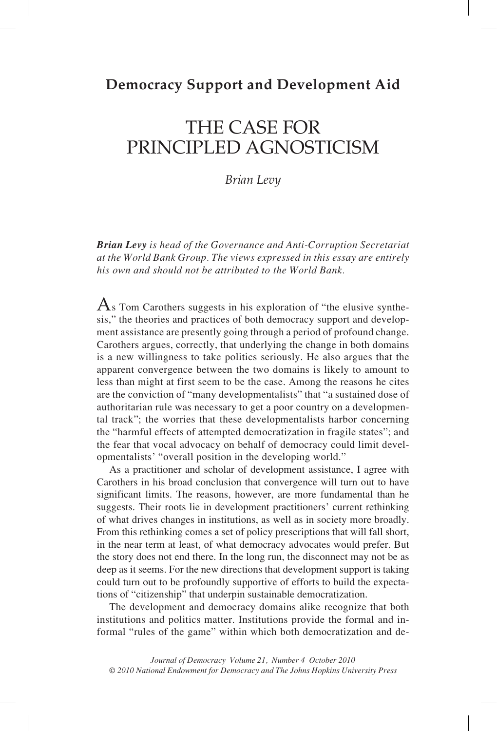## **Democracy Support and Development Aid**

# the case for principled agnoSticism

*Brian Levy*

*Brian Levy is head of the Governance and Anti-Corruption Secretariat at the World Bank Group. The views expressed in this essay are entirely his own and should not be attributed to the World Bank.*

 $\overline{A}$ s Tom Carothers suggests in his exploration of "the elusive synthesis," the theories and practices of both democracy support and development assistance are presently going through a period of profound change. Carothers argues, correctly, that underlying the change in both domains is a new willingness to take politics seriously. He also argues that the apparent convergence between the two domains is likely to amount to less than might at first seem to be the case. Among the reasons he cites are the conviction of "many developmentalists" that "a sustained dose of authoritarian rule was necessary to get a poor country on a developmental track"; the worries that these developmentalists harbor concerning the "harmful effects of attempted democratization in fragile states"; and the fear that vocal advocacy on behalf of democracy could limit developmentalists' "overall position in the developing world."

As a practitioner and scholar of development assistance, I agree with Carothers in his broad conclusion that convergence will turn out to have significant limits. The reasons, however, are more fundamental than he suggests. Their roots lie in development practitioners' current rethinking of what drives changes in institutions, as well as in society more broadly. From this rethinking comes a set of policy prescriptions that will fall short, in the near term at least, of what democracy advocates would prefer. But the story does not end there. In the long run, the disconnect may not be as deep as it seems. For the new directions that development support is taking could turn out to be profoundly supportive of efforts to build the expectations of "citizenship" that underpin sustainable democratization.

The development and democracy domains alike recognize that both institutions and politics matter. Institutions provide the formal and informal "rules of the game" within which both democratization and de-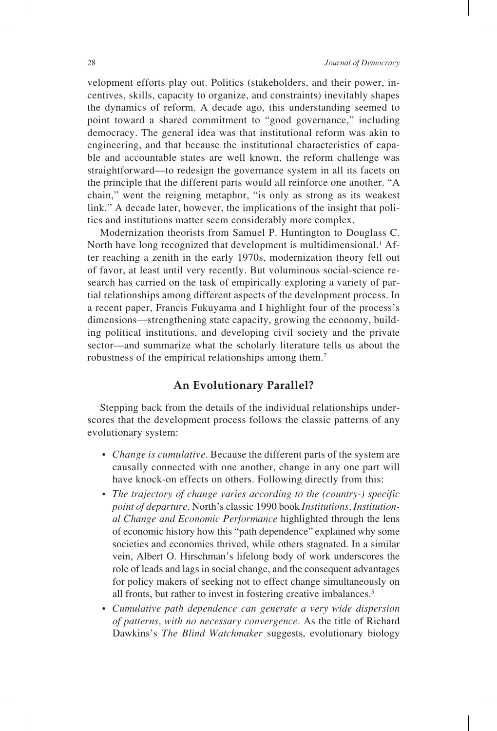velopment efforts play out. Politics (stakeholders, and their power, incentives, skills, capacity to organize, and constraints) inevitably shapes the dynamics of reform. A decade ago, this understanding seemed to point toward a shared commitment to "good governance," including democracy. The general idea was that institutional reform was akin to engineering, and that because the institutional characteristics of capable and accountable states are well known, the reform challenge was straightforward—to redesign the governance system in all its facets on the principle that the different parts would all reinforce one another. "A chain," went the reigning metaphor, "is only as strong as its weakest link." A decade later, however, the implications of the insight that politics and institutions matter seem considerably more complex.

Modernization theorists from Samuel P. Huntington to Douglass C. North have long recognized that development is multidimensional.<sup>1</sup> After reaching a zenith in the early 1970s, modernization theory fell out of favor, at least until very recently. But voluminous social-science research has carried on the task of empirically exploring a variety of partial relationships among different aspects of the development process. In a recent paper, Francis Fukuyama and I highlight four of the process's dimensions—strengthening state capacity, growing the economy, building political institutions, and developing civil society and the private sector—and summarize what the scholarly literature tells us about the robustness of the empirical relationships among them.2

### **An Evolutionary Parallel?**

Stepping back from the details of the individual relationships underscores that the development process follows the classic patterns of any evolutionary system:

- *Change is cumulative.* Because the different parts of the system are causally connected with one another, change in any one part will have knock-on effects on others. Following directly from this:
- *The trajectory of change varies according to the (country-) specific point of departure.* North's classic 1990 book *Institutions, Institutional Change and Economic Performance* highlighted through the lens of economic history how this "path dependence" explained why some societies and economies thrived, while others stagnated. In a similar vein, Albert O. Hirschman's lifelong body of work underscores the role of leads and lags in social change, and the consequent advantages for policy makers of seeking not to effect change simultaneously on all fronts, but rather to invest in fostering creative imbalances.<sup>3</sup>
- *Cumulative path dependence can generate a very wide dispersion of patterns, with no necessary convergence.* As the title of Richard Dawkins's *The Blind Watchmaker* suggests, evolutionary biology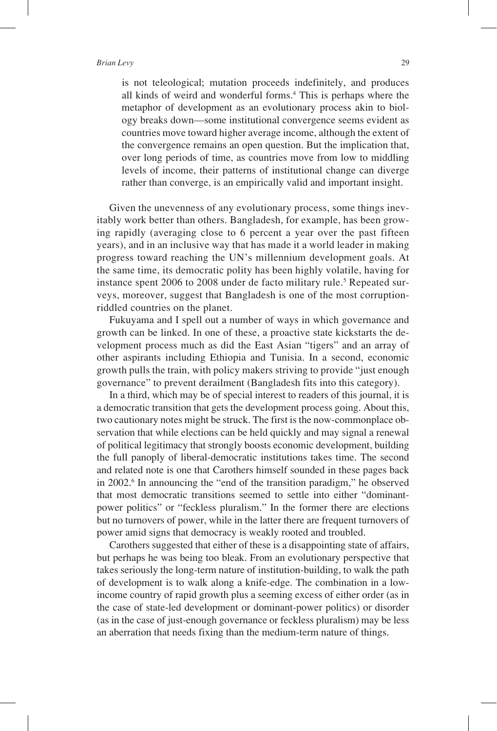#### *Brian Levy* 29

is not teleological; mutation proceeds indefinitely, and produces all kinds of weird and wonderful forms.4 This is perhaps where the metaphor of development as an evolutionary process akin to biology breaks down—some institutional convergence seems evident as countries move toward higher average income, although the extent of the convergence remains an open question. But the implication that, over long periods of time, as countries move from low to middling levels of income, their patterns of institutional change can diverge rather than converge, is an empirically valid and important insight.

Given the unevenness of any evolutionary process, some things inevitably work better than others. Bangladesh, for example, has been growing rapidly (averaging close to 6 percent a year over the past fifteen years), and in an inclusive way that has made it a world leader in making progress toward reaching the UN's millennium development goals. At the same time, its democratic polity has been highly volatile, having for instance spent 2006 to 2008 under de facto military rule.<sup>5</sup> Repeated surveys, moreover, suggest that Bangladesh is one of the most corruptionriddled countries on the planet.

Fukuyama and I spell out a number of ways in which governance and growth can be linked. In one of these, a proactive state kickstarts the development process much as did the East Asian "tigers" and an array of other aspirants including Ethiopia and Tunisia. In a second, economic growth pulls the train, with policy makers striving to provide "just enough governance" to prevent derailment (Bangladesh fits into this category).

In a third, which may be of special interest to readers of this journal, it is a democratic transition that gets the development process going. About this, two cautionary notes might be struck. The first is the now-commonplace observation that while elections can be held quickly and may signal a renewal of political legitimacy that strongly boosts economic development, building the full panoply of liberal-democratic institutions takes time. The second and related note is one that Carothers himself sounded in these pages back in 2002.6 In announcing the "end of the transition paradigm," he observed that most democratic transitions seemed to settle into either "dominantpower politics" or "feckless pluralism." In the former there are elections but no turnovers of power, while in the latter there are frequent turnovers of power amid signs that democracy is weakly rooted and troubled.

Carothers suggested that either of these is a disappointing state of affairs, but perhaps he was being too bleak. From an evolutionary perspective that takes seriously the long-term nature of institution-building, to walk the path of development is to walk along a knife-edge. The combination in a lowincome country of rapid growth plus a seeming excess of either order (as in the case of state-led development or dominant-power politics) or disorder (as in the case of just-enough governance or feckless pluralism) may be less an aberration that needs fixing than the medium-term nature of things.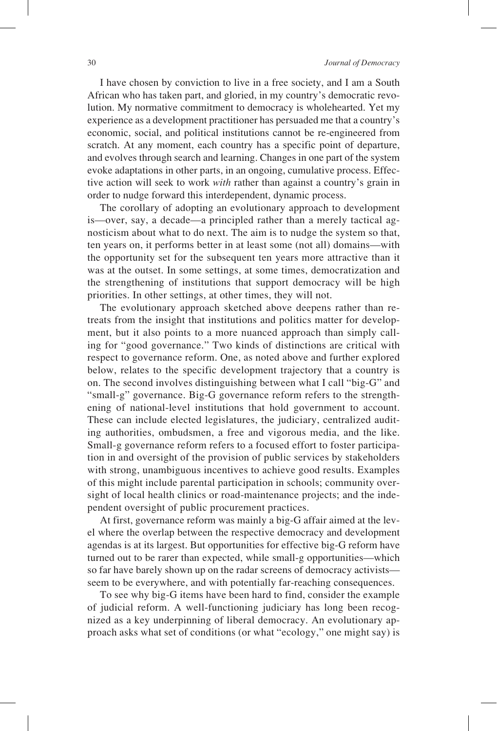I have chosen by conviction to live in a free society, and I am a South African who has taken part, and gloried, in my country's democratic revolution. My normative commitment to democracy is wholehearted. Yet my experience as a development practitioner has persuaded me that a country's economic, social, and political institutions cannot be re-engineered from scratch. At any moment, each country has a specific point of departure, and evolves through search and learning. Changes in one part of the system evoke adaptations in other parts, in an ongoing, cumulative process. Effective action will seek to work *with* rather than against a country's grain in order to nudge forward this interdependent, dynamic process.

The corollary of adopting an evolutionary approach to development is—over, say, a decade—a principled rather than a merely tactical agnosticism about what to do next. The aim is to nudge the system so that, ten years on, it performs better in at least some (not all) domains—with the opportunity set for the subsequent ten years more attractive than it was at the outset. In some settings, at some times, democratization and the strengthening of institutions that support democracy will be high priorities. In other settings, at other times, they will not.

The evolutionary approach sketched above deepens rather than retreats from the insight that institutions and politics matter for development, but it also points to a more nuanced approach than simply calling for "good governance." Two kinds of distinctions are critical with respect to governance reform. One, as noted above and further explored below, relates to the specific development trajectory that a country is on. The second involves distinguishing between what I call "big-G" and "small-g" governance. Big-G governance reform refers to the strengthening of national-level institutions that hold government to account. These can include elected legislatures, the judiciary, centralized auditing authorities, ombudsmen, a free and vigorous media, and the like. Small-g governance reform refers to a focused effort to foster participation in and oversight of the provision of public services by stakeholders with strong, unambiguous incentives to achieve good results. Examples of this might include parental participation in schools; community oversight of local health clinics or road-maintenance projects; and the independent oversight of public procurement practices.

At first, governance reform was mainly a big-G affair aimed at the level where the overlap between the respective democracy and development agendas is at its largest. But opportunities for effective big-G reform have turned out to be rarer than expected, while small-g opportunities—which so far have barely shown up on the radar screens of democracy activists seem to be everywhere, and with potentially far-reaching consequences.

To see why big-G items have been hard to find, consider the example of judicial reform. A well-functioning judiciary has long been recognized as a key underpinning of liberal democracy. An evolutionary approach asks what set of conditions (or what "ecology," one might say) is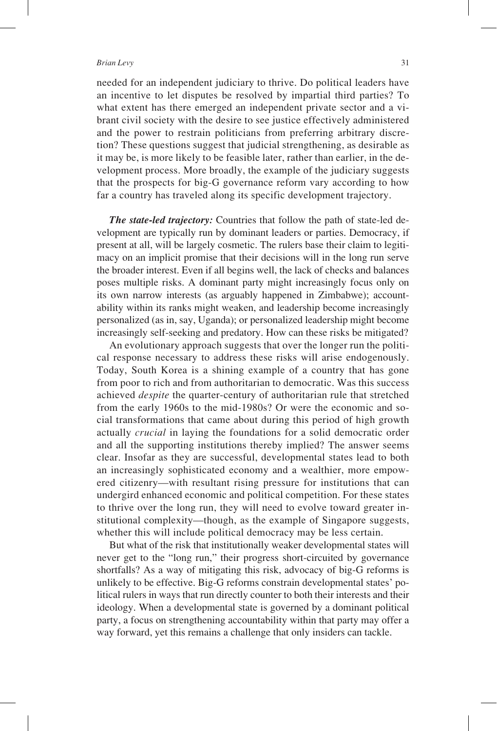#### *Brian Levy* 31

needed for an independent judiciary to thrive. Do political leaders have an incentive to let disputes be resolved by impartial third parties? To what extent has there emerged an independent private sector and a vibrant civil society with the desire to see justice effectively administered and the power to restrain politicians from preferring arbitrary discretion? These questions suggest that judicial strengthening, as desirable as it may be, is more likely to be feasible later, rather than earlier, in the development process. More broadly, the example of the judiciary suggests that the prospects for big-G governance reform vary according to how far a country has traveled along its specific development trajectory.

*The state-led trajectory:* Countries that follow the path of state-led development are typically run by dominant leaders or parties. Democracy, if present at all, will be largely cosmetic. The rulers base their claim to legitimacy on an implicit promise that their decisions will in the long run serve the broader interest. Even if all begins well, the lack of checks and balances poses multiple risks. A dominant party might increasingly focus only on its own narrow interests (as arguably happened in Zimbabwe); accountability within its ranks might weaken, and leadership become increasingly personalized (as in, say, Uganda); or personalized leadership might become increasingly self-seeking and predatory. How can these risks be mitigated?

An evolutionary approach suggests that over the longer run the political response necessary to address these risks will arise endogenously. Today, South Korea is a shining example of a country that has gone from poor to rich and from authoritarian to democratic. Was this success achieved *despite* the quarter-century of authoritarian rule that stretched from the early 1960s to the mid-1980s? Or were the economic and social transformations that came about during this period of high growth actually *crucial* in laying the foundations for a solid democratic order and all the supporting institutions thereby implied? The answer seems clear. Insofar as they are successful, developmental states lead to both an increasingly sophisticated economy and a wealthier, more empowered citizenry—with resultant rising pressure for institutions that can undergird enhanced economic and political competition. For these states to thrive over the long run, they will need to evolve toward greater institutional complexity—though, as the example of Singapore suggests, whether this will include political democracy may be less certain.

But what of the risk that institutionally weaker developmental states will never get to the "long run," their progress short-circuited by governance shortfalls? As a way of mitigating this risk, advocacy of big-G reforms is unlikely to be effective. Big-G reforms constrain developmental states' political rulers in ways that run directly counter to both their interests and their ideology. When a developmental state is governed by a dominant political party, a focus on strengthening accountability within that party may offer a way forward, yet this remains a challenge that only insiders can tackle.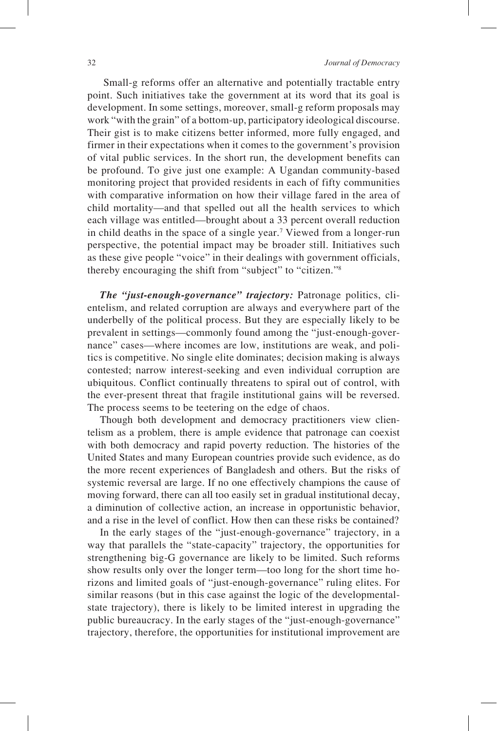Small-g reforms offer an alternative and potentially tractable entry point. Such initiatives take the government at its word that its goal is development. In some settings, moreover, small-g reform proposals may work "with the grain" of a bottom-up, participatory ideological discourse. Their gist is to make citizens better informed, more fully engaged, and firmer in their expectations when it comes to the government's provision of vital public services. In the short run, the development benefits can be profound. To give just one example: A Ugandan community-based monitoring project that provided residents in each of fifty communities with comparative information on how their village fared in the area of child mortality—and that spelled out all the health services to which each village was entitled—brought about a 33 percent overall reduction in child deaths in the space of a single year.7 Viewed from a longer-run perspective, the potential impact may be broader still. Initiatives such as these give people "voice" in their dealings with government officials, thereby encouraging the shift from "subject" to "citizen."8

*The "just-enough-governance" trajectory:* Patronage politics, clientelism, and related corruption are always and everywhere part of the underbelly of the political process. But they are especially likely to be prevalent in settings—commonly found among the "just-enough-governance" cases—where incomes are low, institutions are weak, and politics is competitive. No single elite dominates; decision making is always contested; narrow interest-seeking and even individual corruption are ubiquitous. Conflict continually threatens to spiral out of control, with the ever-present threat that fragile institutional gains will be reversed. The process seems to be teetering on the edge of chaos.

Though both development and democracy practitioners view clientelism as a problem, there is ample evidence that patronage can coexist with both democracy and rapid poverty reduction. The histories of the United States and many European countries provide such evidence, as do the more recent experiences of Bangladesh and others. But the risks of systemic reversal are large. If no one effectively champions the cause of moving forward, there can all too easily set in gradual institutional decay, a diminution of collective action, an increase in opportunistic behavior, and a rise in the level of conflict. How then can these risks be contained?

In the early stages of the "just-enough-governance" trajectory, in a way that parallels the "state-capacity" trajectory, the opportunities for strengthening big-G governance are likely to be limited. Such reforms show results only over the longer term—too long for the short time horizons and limited goals of "just-enough-governance" ruling elites. For similar reasons (but in this case against the logic of the developmentalstate trajectory), there is likely to be limited interest in upgrading the public bureaucracy. In the early stages of the "just-enough-governance" trajectory, therefore, the opportunities for institutional improvement are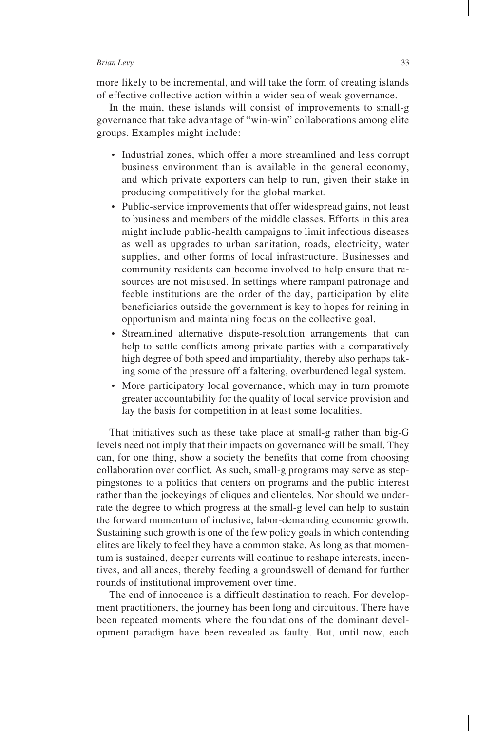#### *Brian Levy* 33

more likely to be incremental, and will take the form of creating islands of effective collective action within a wider sea of weak governance.

In the main, these islands will consist of improvements to small-g governance that take advantage of "win-win" collaborations among elite groups. Examples might include:

- Industrial zones, which offer a more streamlined and less corrupt business environment than is available in the general economy, and which private exporters can help to run, given their stake in producing competitively for the global market.
- Public-service improvements that offer widespread gains, not least to business and members of the middle classes. Efforts in this area might include public-health campaigns to limit infectious diseases as well as upgrades to urban sanitation, roads, electricity, water supplies, and other forms of local infrastructure. Businesses and community residents can become involved to help ensure that resources are not misused. In settings where rampant patronage and feeble institutions are the order of the day, participation by elite beneficiaries outside the government is key to hopes for reining in opportunism and maintaining focus on the collective goal.
- Streamlined alternative dispute-resolution arrangements that can help to settle conflicts among private parties with a comparatively high degree of both speed and impartiality, thereby also perhaps taking some of the pressure off a faltering, overburdened legal system.
- More participatory local governance, which may in turn promote greater accountability for the quality of local service provision and lay the basis for competition in at least some localities.

That initiatives such as these take place at small-g rather than big-G levels need not imply that their impacts on governance will be small. They can, for one thing, show a society the benefits that come from choosing collaboration over conflict. As such, small-g programs may serve as steppingstones to a politics that centers on programs and the public interest rather than the jockeyings of cliques and clienteles. Nor should we underrate the degree to which progress at the small-g level can help to sustain the forward momentum of inclusive, labor-demanding economic growth. Sustaining such growth is one of the few policy goals in which contending elites are likely to feel they have a common stake. As long as that momentum is sustained, deeper currents will continue to reshape interests, incentives, and alliances, thereby feeding a groundswell of demand for further rounds of institutional improvement over time.

The end of innocence is a difficult destination to reach. For development practitioners, the journey has been long and circuitous. There have been repeated moments where the foundations of the dominant development paradigm have been revealed as faulty. But, until now, each